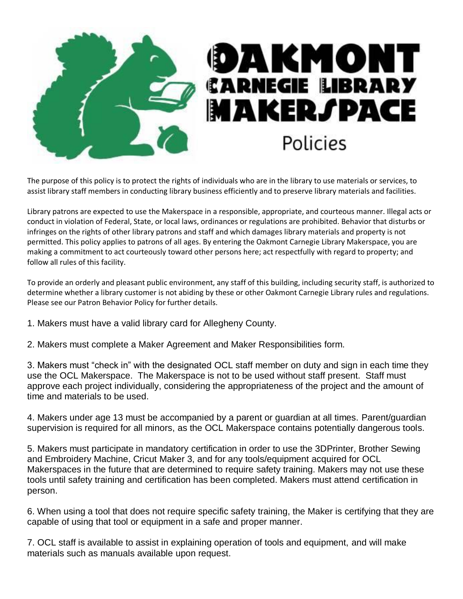

The purpose of this policy is to protect the rights of individuals who are in the library to use materials or services, to assist library staff members in conducting library business efficiently and to preserve library materials and facilities.

Library patrons are expected to use the Makerspace in a responsible, appropriate, and courteous manner. Illegal acts or conduct in violation of Federal, State, or local laws, ordinances or regulations are prohibited. Behavior that disturbs or infringes on the rights of other library patrons and staff and which damages library materials and property is not permitted. This policy applies to patrons of all ages. By entering the Oakmont Carnegie Library Makerspace, you are making a commitment to act courteously toward other persons here; act respectfully with regard to property; and follow all rules of this facility.

To provide an orderly and pleasant public environment, any staff of this building, including security staff, is authorized to determine whether a library customer is not abiding by these or other Oakmont Carnegie Library rules and regulations. Please see our Patron Behavior Policy for further details.

- 1. Makers must have a valid library card for Allegheny County.
- 2. Makers must complete a Maker Agreement and Maker Responsibilities form.

3. Makers must "check in" with the designated OCL staff member on duty and sign in each time they use the OCL Makerspace. The Makerspace is not to be used without staff present. Staff must approve each project individually, considering the appropriateness of the project and the amount of time and materials to be used.

4. Makers under age 13 must be accompanied by a parent or guardian at all times. Parent/guardian supervision is required for all minors, as the OCL Makerspace contains potentially dangerous tools.

5. Makers must participate in mandatory certification in order to use the 3DPrinter, Brother Sewing and Embroidery Machine, Cricut Maker 3, and for any tools/equipment acquired for OCL Makerspaces in the future that are determined to require safety training. Makers may not use these tools until safety training and certification has been completed. Makers must attend certification in person.

6. When using a tool that does not require specific safety training, the Maker is certifying that they are capable of using that tool or equipment in a safe and proper manner.

7. OCL staff is available to assist in explaining operation of tools and equipment, and will make materials such as manuals available upon request.